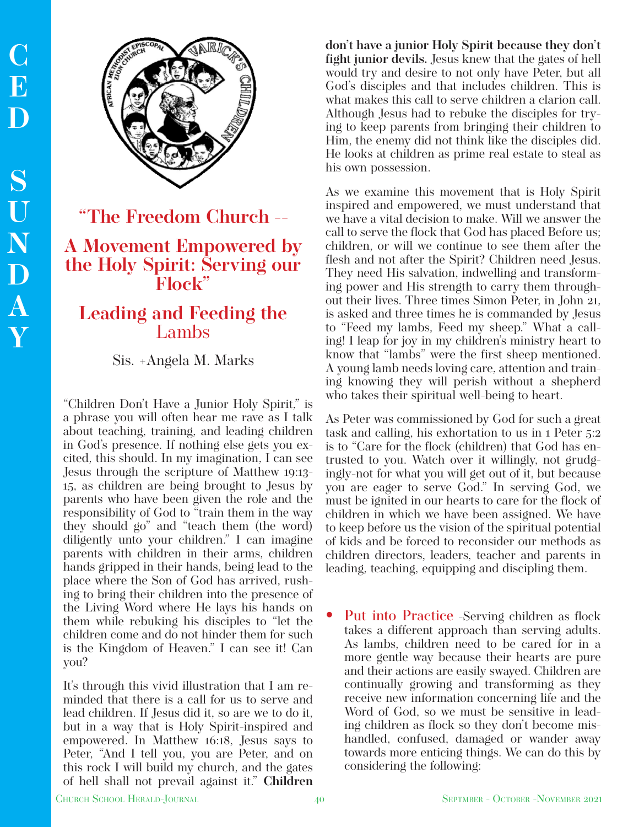

**"The Freedom Church --** 

## **A Movement Empowered by the Holy Spirit: Serving our Flock"**

## **Leading and Feeding the**  Lambs

## Sis. +Angela M. Marks

"Children Don't Have a Junior Holy Spirit," is a phrase you will often hear me rave as I talk about teaching, training, and leading children in God's presence. If nothing else gets you excited, this should. In my imagination, I can see Jesus through the scripture of Matthew 19:13- 15, as children are being brought to Jesus by parents who have been given the role and the responsibility of God to "train them in the way they should go" and "teach them (the word) diligently unto your children." I can imagine parents with children in their arms, children hands gripped in their hands, being lead to the place where the Son of God has arrived, rushing to bring their children into the presence of the Living Word where He lays his hands on them while rebuking his disciples to "let the children come and do not hinder them for such is the Kingdom of Heaven." I can see it! Can you?

It's through this vivid illustration that I am reminded that there is a call for us to serve and lead children. If Jesus did it, so are we to do it, but in a way that is Holy Spirit-inspired and empowered. In Matthew 16:18, Jesus says to Peter, "And I tell you, you are Peter, and on this rock I will build my church, and the gates of hell shall not prevail against it." **Children**  **don't have a junior Holy Spirit because they don't fight junior devils.** Jesus knew that the gates of hell would try and desire to not only have Peter, but all God's disciples and that includes children. This is what makes this call to serve children a clarion call. Although Jesus had to rebuke the disciples for trying to keep parents from bringing their children to Him, the enemy did not think like the disciples did. He looks at children as prime real estate to steal as his own possession.

As we examine this movement that is Holy Spirit inspired and empowered, we must understand that we have a vital decision to make. Will we answer the call to serve the flock that God has placed Before us; children, or will we continue to see them after the flesh and not after the Spirit? Children need Jesus. They need His salvation, indwelling and transforming power and His strength to carry them throughout their lives. Three times Simon Peter, in John 21, is asked and three times he is commanded by Jesus to "Feed my lambs, Feed my sheep." What a calling! I leap for joy in my children's ministry heart to know that "lambs" were the first sheep mentioned. A young lamb needs loving care, attention and training knowing they will perish without a shepherd who takes their spiritual well-being to heart.

As Peter was commissioned by God for such a great task and calling, his exhortation to us in 1 Peter 5:2 is to "Care for the flock (children) that God has entrusted to you. Watch over it willingly, not grudgingly-not for what you will get out of it, but because you are eager to serve God." In serving God, we must be ignited in our hearts to care for the flock of children in which we have been assigned. We have to keep before us the vision of the spiritual potential of kids and be forced to reconsider our methods as children directors, leaders, teacher and parents in leading, teaching, equipping and discipling them.

• Put into Practice -Serving children as flock takes a different approach than serving adults. As lambs, children need to be cared for in a more gentle way because their hearts are pure and their actions are easily swayed. Children are continually growing and transforming as they receive new information concerning life and the Word of God, so we must be sensitive in leading children as flock so they don't become mishandled, confused, damaged or wander away towards more enticing things. We can do this by considering the following: